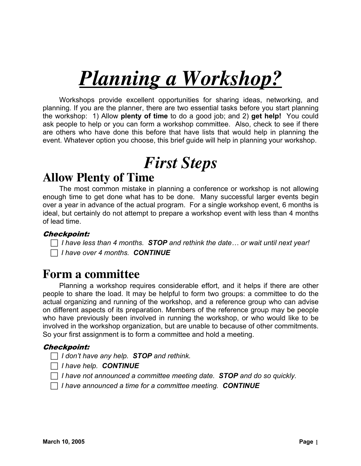# *Planning a Workshop?*

Workshops provide excellent opportunities for sharing ideas, networking, and planning. If you are the planner, there are two essential tasks before you start planning the workshop: 1) Allow **plenty of time** to do a good job; and 2) **get help!** You could ask people to help or you can form a workshop committee. Also, check to see if there are others who have done this before that have lists that would help in planning the event. Whatever option you choose, this brief guide will help in planning your workshop.

# *First Steps*

### **Allow Plenty of Time**

The most common mistake in planning a conference or workshop is not allowing enough time to get done what has to be done. Many successful larger events begin over a year in advance of the actual program. For a single workshop event, 6 months is ideal, but certainly do not attempt to prepare a workshop event with less than 4 months of lead time.

#### Checkpoint:

 $\Box$  *I have less than 4 months. STOP and rethink the date... or wait until next year!* c *I have over 4 months. CONTINUE*

### **Form a committee**

Planning a workshop requires considerable effort, and it helps if there are other people to share the load. It may be helpful to form two groups: a committee to do the actual organizing and running of the workshop, and a reference group who can advise on different aspects of its preparation. Members of the reference group may be people who have previously been involved in running the workshop, or who would like to be involved in the workshop organization, but are unable to because of other commitments. So your first assignment is to form a committee and hold a meeting.

#### Checkpoint:

c *I don't have any help. STOP and rethink.*

c *I have help. CONTINUE*

c *I have not announced a committee meeting date. STOP and do so quickly.*

c *I have announced a time for a committee meeting. CONTINUE*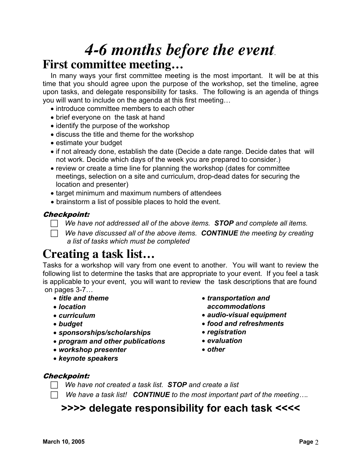# *4-6 months before the event*. **First committee meeting…**

In many ways your first committee meeting is the most important. It will be at this time that you should agree upon the purpose of the workshop, set the timeline, agree upon tasks, and delegate responsibility for tasks. The following is an agenda of things you will want to include on the agenda at this first meeting…

- introduce committee members to each other
- brief everyone on the task at hand
- identify the purpose of the workshop
- discuss the title and theme for the workshop
- estimate your budget
- if not already done, establish the date (Decide a date range. Decide dates that will not work. Decide which days of the week you are prepared to consider.)
- review or create a time line for planning the workshop (dates for committee meetings, selection on a site and curriculum, drop-dead dates for securing the location and presenter)
- target minimum and maximum numbers of attendees
- brainstorm a list of possible places to hold the event.

#### Checkpoint:

 $\Box$  We have not addressed all of the above items. *STOP* and complete all items.

c *We have discussed all of the above items. CONTINUE the meeting by creating a list of tasks which must be completed*

### **Creating a task list…**

Tasks for a workshop will vary from one event to another. You will want to review the following list to determine the tasks that are appropriate to your event. If you feel a task is applicable to your event, you will want to review the task descriptions that are found on pages 3-7…

- *title and theme*
- *location*
- *curriculum*
- *budget*
- *sponsorships/scholarships*
- *program and other publications*
- *workshop presenter*
- *keynote speakers*
- *transportation and accommodations*
- *audio-visual equipment*
- *food and refreshments*
- *registration*
- *evaluation*
- *other*

#### Checkpoint:

- c *We have not created a task list. STOP and create a list*
- $\Box$  We have a task list! *CONTINUE* to the most important part of the meeting....

### **>>>> delegate responsibility for each task <<<<**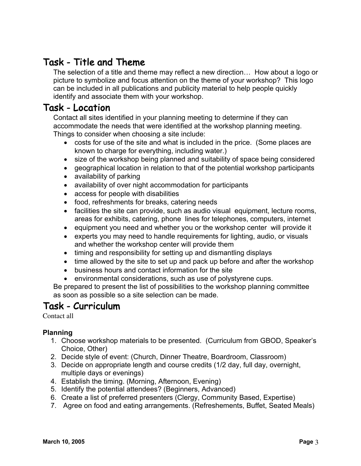### Task - Title and Theme

The selection of a title and theme may reflect a new direction… How about a logo or picture to symbolize and focus attention on the theme of your workshop? This logo can be included in all publications and publicity material to help people quickly identify and associate them with your workshop.

### Task - Location

Contact all sites identified in your planning meeting to determine if they can accommodate the needs that were identified at the workshop planning meeting. Things to consider when choosing a site include:

- costs for use of the site and what is included in the price. (Some places are known to charge for everything, including water.)
- size of the workshop being planned and suitability of space being considered
- geographical location in relation to that of the potential workshop participants
- availability of parking
- availability of over night accommodation for participants
- access for people with disabilities
- food, refreshments for breaks, catering needs
- facilities the site can provide, such as audio visual equipment, lecture rooms, areas for exhibits, catering, phone lines for telephones, computers, internet
- equipment you need and whether you or the workshop center will provide it
- experts you may need to handle requirements for lighting, audio, or visuals and whether the workshop center will provide them
- timing and responsibility for setting up and dismantling displays
- time allowed by the site to set up and pack up before and after the workshop
- business hours and contact information for the site
- environmental considerations, such as use of polystyrene cups.

Be prepared to present the list of possibilities to the workshop planning committee as soon as possible so a site selection can be made.

### Task - Curriculum

Contact all

#### **Planning**

- 1. Choose workshop materials to be presented. (Curriculum from GBOD, Speaker's Choice, Other)
- 2. Decide style of event: (Church, Dinner Theatre, Boardroom, Classroom)
- 3. Decide on appropriate length and course credits (1/2 day, full day, overnight, multiple days or evenings)
- 4. Establish the timing. (Morning, Afternoon, Evening)
- 5. Identify the potential attendees? (Beginners, Advanced)
- 6. Create a list of preferred presenters (Clergy, Community Based, Expertise)
- 7. Agree on food and eating arrangements. (Refreshements, Buffet, Seated Meals)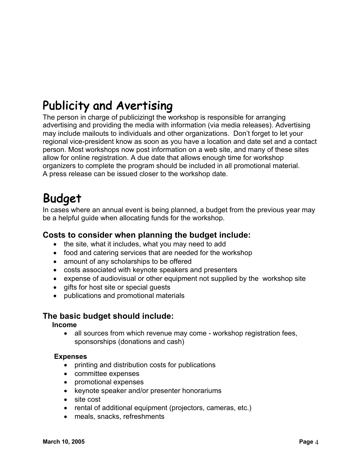# Publicity and Avertising

The person in charge of publicizingt the workshop is responsible for arranging advertising and providing the media with information (via media releases). Advertising may include mailouts to individuals and other organizations. Don't forget to let your regional vice-president know as soon as you have a location and date set and a contact person. Most workshops now post information on a web site, and many of these sites allow for online registration. A due date that allows enough time for workshop organizers to complete the program should be included in all promotional material. A press release can be issued closer to the workshop date.

### Budget

In cases where an annual event is being planned, a budget from the previous year may be a helpful guide when allocating funds for the workshop.

#### **Costs to consider when planning the budget include:**

- the site, what it includes, what you may need to add
- food and catering services that are needed for the workshop
- amount of any scholarships to be offered
- costs associated with keynote speakers and presenters
- expense of audiovisual or other equipment not supplied by the workshop site
- gifts for host site or special guests
- publications and promotional materials

#### **The basic budget should include:**

#### **Income**

• all sources from which revenue may come - workshop registration fees, sponsorships (donations and cash)

#### **Expenses**

- printing and distribution costs for publications
- committee expenses
- promotional expenses
- keynote speaker and/or presenter honorariums
- site cost
- rental of additional equipment (projectors, cameras, etc.)
- meals, snacks, refreshments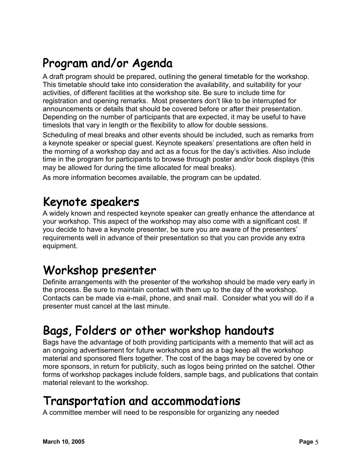# Program and/or Agenda

A draft program should be prepared, outlining the general timetable for the workshop. This timetable should take into consideration the availability, and suitability for your activities, of different facilities at the workshop site. Be sure to include time for registration and opening remarks. Most presenters don't like to be interrupted for announcements or details that should be covered before or after their presentation. Depending on the number of participants that are expected, it may be useful to have timeslots that vary in length or the flexibility to allow for double sessions.

Scheduling of meal breaks and other events should be included, such as remarks from a keynote speaker or special guest. Keynote speakers' presentations are often held in the morning of a workshop day and act as a focus for the day's activities. Also include time in the program for participants to browse through poster and/or book displays (this may be allowed for during the time allocated for meal breaks).

As more information becomes available, the program can be updated.

# Keynote speakers

A widely known and respected keynote speaker can greatly enhance the attendance at your workshop. This aspect of the workshop may also come with a significant cost. If you decide to have a keynote presenter, be sure you are aware of the presenters' requirements well in advance of their presentation so that you can provide any extra equipment.

### Workshop presenter

Definite arrangements with the presenter of the workshop should be made very early in the process. Be sure to maintain contact with them up to the day of the workshop. Contacts can be made via e-mail, phone, and snail mail. Consider what you will do if a presenter must cancel at the last minute.

### Bags, Folders or other workshop handouts

Bags have the advantage of both providing participants with a memento that will act as an ongoing advertisement for future workshops and as a bag keep all the workshop material and sponsored fliers together. The cost of the bags may be covered by one or more sponsors, in return for publicity, such as logos being printed on the satchel. Other forms of workshop packages include folders, sample bags, and publications that contain material relevant to the workshop.

### Transportation and accommodations

A committee member will need to be responsible for organizing any needed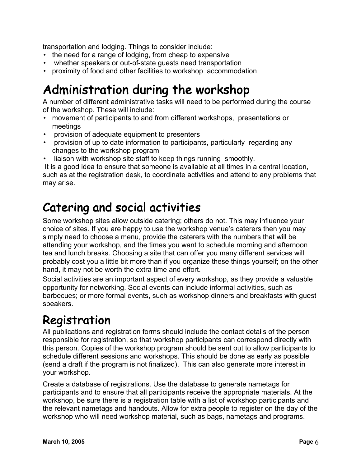transportation and lodging. Things to consider include:

- the need for a range of lodging, from cheap to expensive
- whether speakers or out-of-state guests need transportation
- proximity of food and other facilities to workshop accommodation

## Administration during the workshop

A number of different administrative tasks will need to be performed during the course of the workshop. These will include:

- movement of participants to and from different workshops, presentations or meetings
- provision of adequate equipment to presenters
- provision of up to date information to participants, particularly regarding any changes to the workshop program
- liaison with workshop site staff to keep things running smoothly.

It is a good idea to ensure that someone is available at all times in a central location, such as at the registration desk, to coordinate activities and attend to any problems that may arise.

### Catering and social activities

Some workshop sites allow outside catering; others do not. This may influence your choice of sites. If you are happy to use the workshop venue's caterers then you may simply need to choose a menu, provide the caterers with the numbers that will be attending your workshop, and the times you want to schedule morning and afternoon tea and lunch breaks. Choosing a site that can offer you many different services will probably cost you a little bit more than if you organize these things yourself; on the other hand, it may not be worth the extra time and effort.

Social activities are an important aspect of every workshop, as they provide a valuable opportunity for networking. Social events can include informal activities, such as barbecues; or more formal events, such as workshop dinners and breakfasts with guest speakers.

### Registration

All publications and registration forms should include the contact details of the person responsible for registration, so that workshop participants can correspond directly with this person. Copies of the workshop program should be sent out to allow participants to schedule different sessions and workshops. This should be done as early as possible (send a draft if the program is not finalized). This can also generate more interest in your workshop.

Create a database of registrations. Use the database to generate nametags for participants and to ensure that all participants receive the appropriate materials. At the workshop, be sure there is a registration table with a list of workshop participants and the relevant nametags and handouts. Allow for extra people to register on the day of the workshop who will need workshop material, such as bags, nametags and programs.